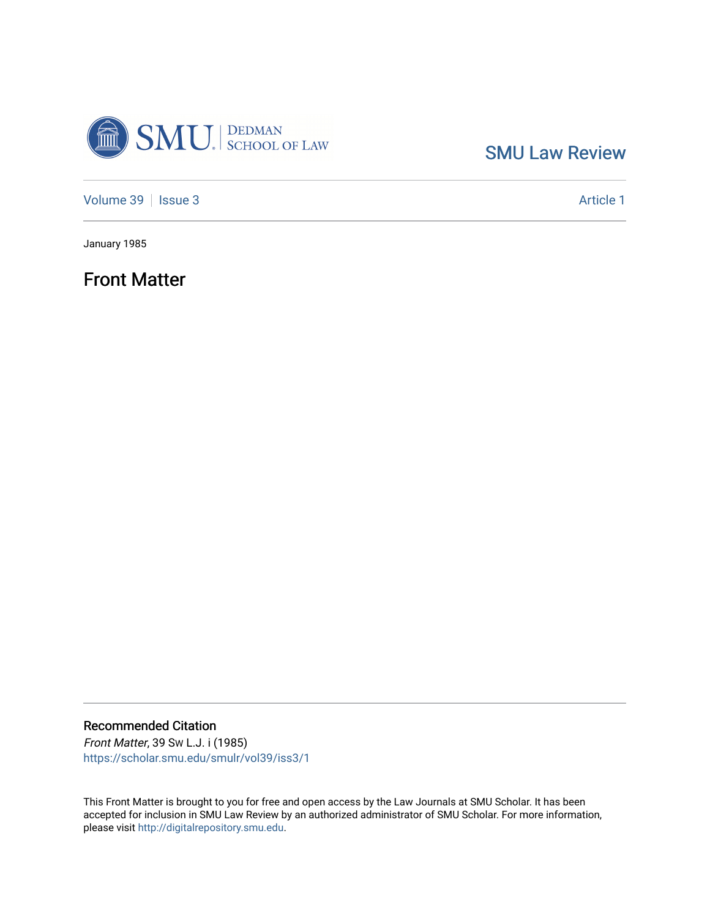

[SMU Law Review](https://scholar.smu.edu/smulr) 

[Volume 39](https://scholar.smu.edu/smulr/vol39) | [Issue 3](https://scholar.smu.edu/smulr/vol39/iss3) Article 1

January 1985

Front Matter

Recommended Citation Front Matter, 39 SW L.J. i (1985)

[https://scholar.smu.edu/smulr/vol39/iss3/1](https://scholar.smu.edu/smulr/vol39/iss3/1?utm_source=scholar.smu.edu%2Fsmulr%2Fvol39%2Fiss3%2F1&utm_medium=PDF&utm_campaign=PDFCoverPages) 

This Front Matter is brought to you for free and open access by the Law Journals at SMU Scholar. It has been accepted for inclusion in SMU Law Review by an authorized administrator of SMU Scholar. For more information, please visit [http://digitalrepository.smu.edu.](http://digitalrepository.smu.edu/)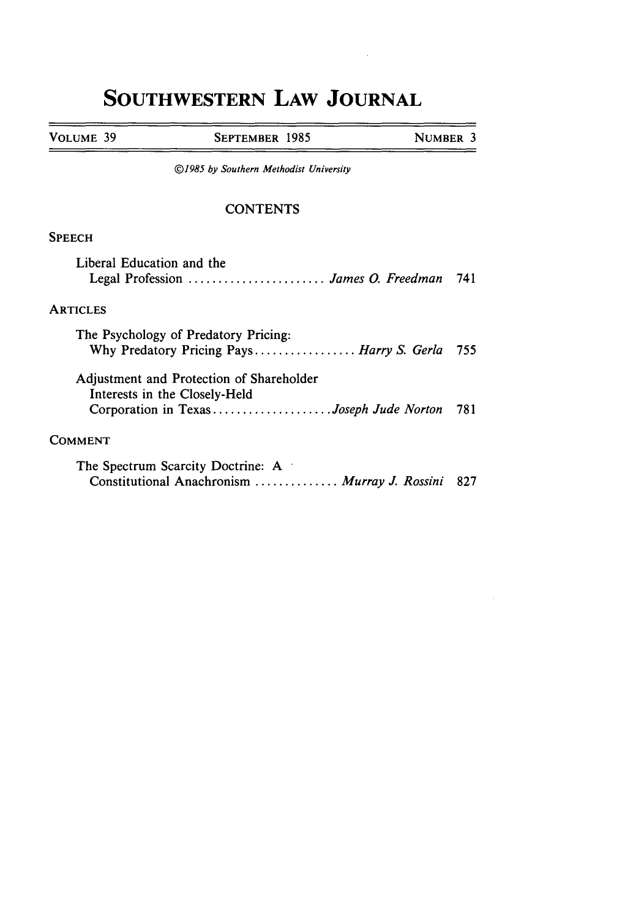# **SOUTHWESTERN LAW JOURNAL**

VOLUME 39 SEPTEMBER 1985 NUMBER 3

*©1985 by Southern Methodist University*

### **CONTENTS**

#### **SPEECH**

| Liberal Education and the<br>Legal Profession  James O. Freedman                   | 741  |
|------------------------------------------------------------------------------------|------|
| <b>ARTICLES</b>                                                                    |      |
| The Psychology of Predatory Pricing:                                               |      |
| Why Predatory Pricing Pays Harry S. Gerla                                          | -755 |
| Adjustment and Protection of Shareholder                                           |      |
| Interests in the Closely-Held                                                      |      |
| Corporation in Texas Joseph Jude Norton 781                                        |      |
| COMMENT                                                                            |      |
| The Spectrum Scarcity Doctrine: A<br>Constitutional Anachronism  Murray J. Rossini | 827  |